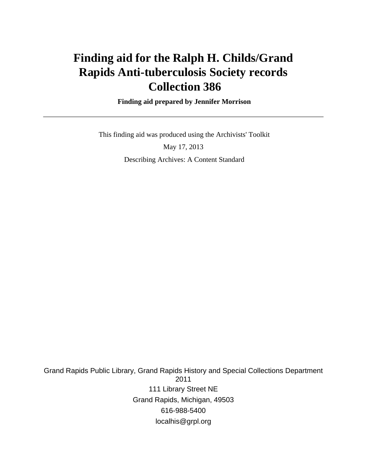# **Finding aid for the Ralph H. Childs/Grand Rapids Anti-tuberculosis Society records Collection 386**

 **Finding aid prepared by Jennifer Morrison**

 This finding aid was produced using the Archivists' Toolkit May 17, 2013

Describing Archives: A Content Standard

Grand Rapids Public Library, Grand Rapids History and Special Collections Department 2011 111 Library Street NE Grand Rapids, Michigan, 49503 616-988-5400 localhis@grpl.org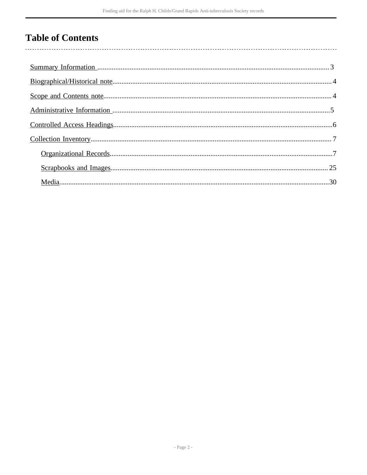# **Table of Contents**

 $\overline{\phantom{a}}$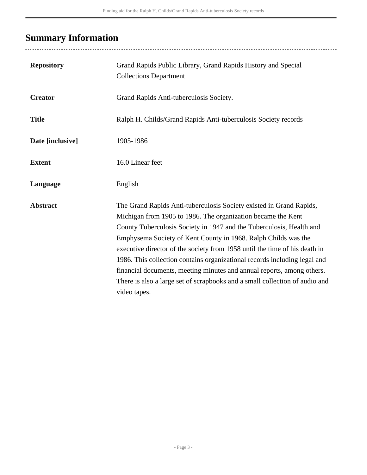# <span id="page-2-0"></span>**Summary Information**

........................

| <b>Repository</b> | Grand Rapids Public Library, Grand Rapids History and Special<br><b>Collections Department</b>                                                                                                                                                                                                                                                                                                                                                                                                                                                                                                                    |
|-------------------|-------------------------------------------------------------------------------------------------------------------------------------------------------------------------------------------------------------------------------------------------------------------------------------------------------------------------------------------------------------------------------------------------------------------------------------------------------------------------------------------------------------------------------------------------------------------------------------------------------------------|
| <b>Creator</b>    | Grand Rapids Anti-tuberculosis Society.                                                                                                                                                                                                                                                                                                                                                                                                                                                                                                                                                                           |
| <b>Title</b>      | Ralph H. Childs/Grand Rapids Anti-tuberculosis Society records                                                                                                                                                                                                                                                                                                                                                                                                                                                                                                                                                    |
| Date [inclusive]  | 1905-1986                                                                                                                                                                                                                                                                                                                                                                                                                                                                                                                                                                                                         |
| <b>Extent</b>     | 16.0 Linear feet                                                                                                                                                                                                                                                                                                                                                                                                                                                                                                                                                                                                  |
| Language          | English                                                                                                                                                                                                                                                                                                                                                                                                                                                                                                                                                                                                           |
| <b>Abstract</b>   | The Grand Rapids Anti-tuberculosis Society existed in Grand Rapids,<br>Michigan from 1905 to 1986. The organization became the Kent<br>County Tuberculosis Society in 1947 and the Tuberculosis, Health and<br>Emphysema Society of Kent County in 1968. Ralph Childs was the<br>executive director of the society from 1958 until the time of his death in<br>1986. This collection contains organizational records including legal and<br>financial documents, meeting minutes and annual reports, among others.<br>There is also a large set of scrapbooks and a small collection of audio and<br>video tapes. |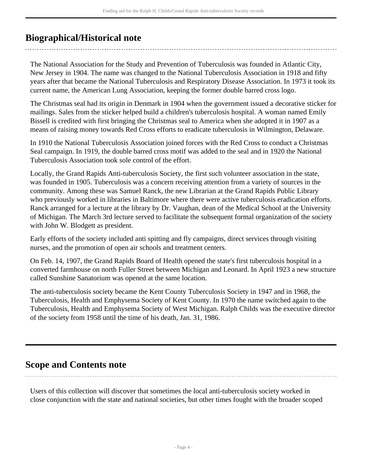# <span id="page-3-0"></span>**Biographical/Historical note**

The National Association for the Study and Prevention of Tuberculosis was founded in Atlantic City, New Jersey in 1904. The name was changed to the National Tuberculosis Association in 1918 and fifty years after that became the National Tuberculosis and Respiratory Disease Association. In 1973 it took its current name, the American Lung Association, keeping the former double barred cross logo.

The Christmas seal had its origin in Denmark in 1904 when the government issued a decorative sticker for mailings. Sales from the sticker helped build a children's tuberculosis hospital. A woman named Emily Bissell is credited with first bringing the Christmas seal to America when she adopted it in 1907 as a means of raising money towards Red Cross efforts to eradicate tuberculosis in Wilmington, Delaware.

In 1910 the National Tuberculosis Association joined forces with the Red Cross to conduct a Christmas Seal campaign. In 1919, the double barred cross motif was added to the seal and in 1920 the National Tuberculosis Association took sole control of the effort.

Locally, the Grand Rapids Anti-tuberculosis Society, the first such volunteer association in the state, was founded in 1905. Tuberculosis was a concern receiving attention from a variety of sources in the community. Among these was Samuel Ranck, the new Librarian at the Grand Rapids Public Library who previously worked in libraries in Baltimore where there were active tuberculosis eradication efforts. Ranck arranged for a lecture at the library by Dr. Vaughan, dean of the Medical School at the University of Michigan. The March 3rd lecture served to facilitate the subsequent formal organization of the society with John W. Blodgett as president.

Early efforts of the society included anti spitting and fly campaigns, direct services through visiting nurses, and the promotion of open air schools and treatment centers.

On Feb. 14, 1907, the Grand Rapids Board of Health opened the state's first tuberculosis hospital in a converted farmhouse on north Fuller Street between Michigan and Leonard. In April 1923 a new structure called Sunshine Sanatorium was opened at the same location.

The anti-tuberculosis society became the Kent County Tuberculosis Society in 1947 and in 1968, the Tuberculosis, Health and Emphysema Society of Kent County. In 1970 the name switched again to the Tuberculosis, Health and Emphysema Society of West Michigan. Ralph Childs was the executive director of the society from 1958 until the time of his death, Jan. 31, 1986.

# <span id="page-3-1"></span>**Scope and Contents note**

Users of this collection will discover that sometimes the local anti-tuberculosis society worked in close conjunction with the state and national societies, but other times fought with the broader scoped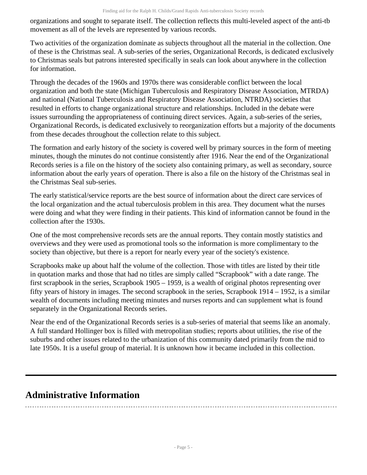organizations and sought to separate itself. The collection reflects this multi-leveled aspect of the anti-tb movement as all of the levels are represented by various records.

Two activities of the organization dominate as subjects throughout all the material in the collection. One of these is the Christmas seal. A sub-series of the series, Organizational Records, is dedicated exclusively to Christmas seals but patrons interested specifically in seals can look about anywhere in the collection for information.

Through the decades of the 1960s and 1970s there was considerable conflict between the local organization and both the state (Michigan Tuberculosis and Respiratory Disease Association, MTRDA) and national (National Tuberculosis and Respiratory Disease Association, NTRDA) societies that resulted in efforts to change organizational structure and relationships. Included in the debate were issues surrounding the appropriateness of continuing direct services. Again, a sub-series of the series, Organizational Records, is dedicated exclusively to reorganization efforts but a majority of the documents from these decades throughout the collection relate to this subject.

The formation and early history of the society is covered well by primary sources in the form of meeting minutes, though the minutes do not continue consistently after 1916. Near the end of the Organizational Records series is a file on the history of the society also containing primary, as well as secondary, source information about the early years of operation. There is also a file on the history of the Christmas seal in the Christmas Seal sub-series.

The early statistical/service reports are the best source of information about the direct care services of the local organization and the actual tuberculosis problem in this area. They document what the nurses were doing and what they were finding in their patients. This kind of information cannot be found in the collection after the 1930s.

One of the most comprehensive records sets are the annual reports. They contain mostly statistics and overviews and they were used as promotional tools so the information is more complimentary to the society than objective, but there is a report for nearly every year of the society's existence.

Scrapbooks make up about half the volume of the collection. Those with titles are listed by their title in quotation marks and those that had no titles are simply called "Scrapbook" with a date range. The first scrapbook in the series, Scrapbook 1905 – 1959, is a wealth of original photos representing over fifty years of history in images. The second scrapbook in the series, Scrapbook 1914 – 1952, is a similar wealth of documents including meeting minutes and nurses reports and can supplement what is found separately in the Organizational Records series.

Near the end of the Organizational Records series is a sub-series of material that seems like an anomaly. A full standard Hollinger box is filled with metropolitan studies; reports about utilities, the rise of the suburbs and other issues related to the urbanization of this community dated primarily from the mid to late 1950s. It is a useful group of material. It is unknown how it became included in this collection.

# <span id="page-4-0"></span>**Administrative Information**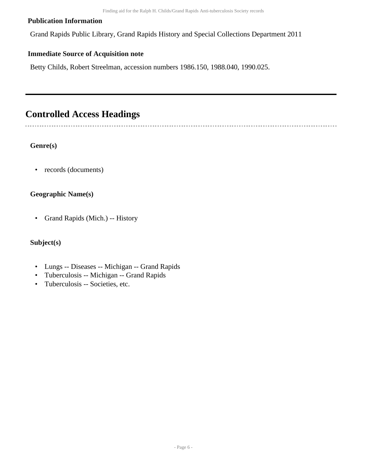#### **Publication Information**

Grand Rapids Public Library, Grand Rapids History and Special Collections Department 2011

#### **Immediate Source of Acquisition note**

Betty Childs, Robert Streelman, accession numbers 1986.150, 1988.040, 1990.025.

# <span id="page-5-0"></span>**Controlled Access Headings**

#### **Genre(s)**

• records (documents)

#### **Geographic Name(s)**

• Grand Rapids (Mich.) -- History

#### **Subject(s)**

- Lungs -- Diseases -- Michigan -- Grand Rapids
- Tuberculosis -- Michigan -- Grand Rapids
- Tuberculosis -- Societies, etc.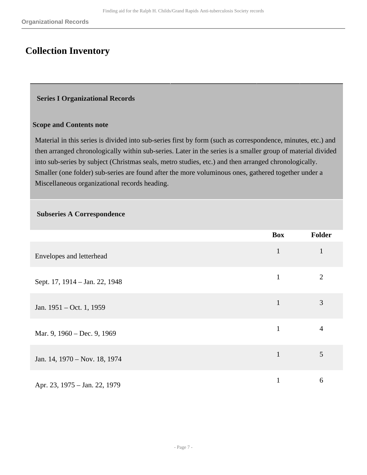# <span id="page-6-0"></span>**Collection Inventory**

#### <span id="page-6-1"></span> **Series I Organizational Records**

#### **Scope and Contents note**

Material in this series is divided into sub-series first by form (such as correspondence, minutes, etc.) and then arranged chronologically within sub-series. Later in the series is a smaller group of material divided into sub-series by subject (Christmas seals, metro studies, etc.) and then arranged chronologically. Smaller (one folder) sub-series are found after the more voluminous ones, gathered together under a Miscellaneous organizational records heading.

#### **Subseries A Correspondence**

|                                | <b>Box</b>   | Folder         |
|--------------------------------|--------------|----------------|
| Envelopes and letterhead       | $\mathbf{1}$ |                |
| Sept. 17, 1914 – Jan. 22, 1948 | $\mathbf{1}$ | $\overline{2}$ |
| Jan. 1951 – Oct. 1, 1959       | $\mathbf{1}$ | 3              |
| Mar. 9, 1960 – Dec. 9, 1969    | $\mathbf{1}$ | 4              |
| Jan. 14, 1970 – Nov. 18, 1974  | $\mathbf{1}$ | 5              |
| Apr. 23, 1975 - Jan. 22, 1979  | $\mathbf{1}$ | 6              |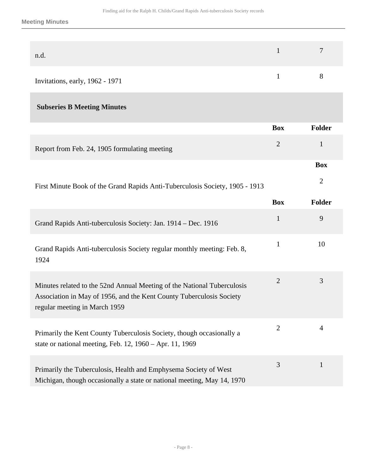| n.d.                            |   |
|---------------------------------|---|
| Invitations, early, 1962 - 1971 | × |

## **Subseries B Meeting Minutes**

|                                                                                                                                                                                  | <b>Box</b>     | <b>Folder</b>  |
|----------------------------------------------------------------------------------------------------------------------------------------------------------------------------------|----------------|----------------|
| Report from Feb. 24, 1905 formulating meeting                                                                                                                                    | $\overline{2}$ | $\mathbf{1}$   |
|                                                                                                                                                                                  |                | <b>Box</b>     |
| First Minute Book of the Grand Rapids Anti-Tuberculosis Society, 1905 - 1913                                                                                                     |                | $\overline{2}$ |
|                                                                                                                                                                                  | <b>Box</b>     | <b>Folder</b>  |
| Grand Rapids Anti-tuberculosis Society: Jan. 1914 – Dec. 1916                                                                                                                    | $\mathbf{1}$   | 9              |
| Grand Rapids Anti-tuberculosis Society regular monthly meeting: Feb. 8,<br>1924                                                                                                  | $\mathbf{1}$   | 10             |
| Minutes related to the 52nd Annual Meeting of the National Tuberculosis<br>Association in May of 1956, and the Kent County Tuberculosis Society<br>regular meeting in March 1959 | $\overline{2}$ | 3              |
| Primarily the Kent County Tuberculosis Society, though occasionally a<br>state or national meeting, Feb. 12, 1960 – Apr. 11, 1969                                                | $\overline{2}$ | $\overline{4}$ |
| Primarily the Tuberculosis, Health and Emphysema Society of West<br>Michigan, though occasionally a state or national meeting, May 14, 1970                                      | 3              | $\mathbf{1}$   |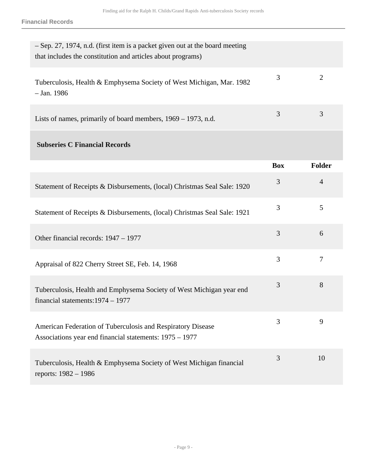**Financial Records**

| - Sep. 27, 1974, n.d. (first item is a packet given out at the board meeting<br>that includes the constitution and articles about programs) |                |                |
|---------------------------------------------------------------------------------------------------------------------------------------------|----------------|----------------|
| Tuberculosis, Health & Emphysema Society of West Michigan, Mar. 1982<br>$-$ Jan. 1986                                                       | 3              | $\overline{2}$ |
| Lists of names, primarily of board members, 1969 – 1973, n.d.                                                                               | 3              | 3              |
| <b>Subseries C Financial Records</b>                                                                                                        |                |                |
|                                                                                                                                             | <b>Box</b>     | <b>Folder</b>  |
| Statement of Receipts & Disbursements, (local) Christmas Seal Sale: 1920                                                                    | $\mathfrak{Z}$ | $\overline{4}$ |
| Statement of Receipts & Disbursements, (local) Christmas Seal Sale: 1921                                                                    | 3              | 5              |
| Other financial records: 1947 – 1977                                                                                                        | 3              | 6              |
| Appraisal of 822 Cherry Street SE, Feb. 14, 1968                                                                                            | 3              | $\overline{7}$ |
| Tuberculosis, Health and Emphysema Society of West Michigan year end<br>financial statements: $1974 - 1977$                                 | 3              | 8              |
| American Federation of Tuberculosis and Respiratory Disease<br>Associations year end financial statements: 1975 – 1977                      | 3              | 9              |
| Tuberculosis, Health & Emphysema Society of West Michigan financial<br>reports: 1982 - 1986                                                 | 3              | 10             |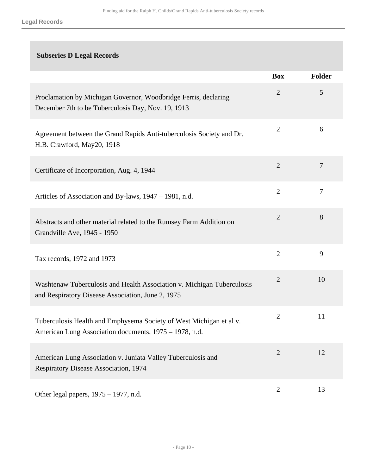## **Subseries D Legal Records**

|                                                                                                                               | <b>Box</b>     | Folder |
|-------------------------------------------------------------------------------------------------------------------------------|----------------|--------|
| Proclamation by Michigan Governor, Woodbridge Ferris, declaring<br>December 7th to be Tuberculosis Day, Nov. 19, 1913         | $\overline{2}$ | 5      |
| Agreement between the Grand Rapids Anti-tuberculosis Society and Dr.<br>H.B. Crawford, May20, 1918                            | $\overline{2}$ | 6      |
| Certificate of Incorporation, Aug. 4, 1944                                                                                    | $\overline{2}$ | 7      |
| Articles of Association and By-laws, 1947 – 1981, n.d.                                                                        | $\overline{2}$ | 7      |
| Abstracts and other material related to the Rumsey Farm Addition on<br>Grandville Ave, 1945 - 1950                            | $\overline{2}$ | 8      |
| Tax records, 1972 and 1973                                                                                                    | $\overline{2}$ | 9      |
| Washtenaw Tuberculosis and Health Association v. Michigan Tuberculosis<br>and Respiratory Disease Association, June 2, 1975   | $\overline{2}$ | 10     |
| Tuberculosis Health and Emphysema Society of West Michigan et al v.<br>American Lung Association documents, 1975 - 1978, n.d. | $\overline{2}$ | 11     |
| American Lung Association v. Juniata Valley Tuberculosis and<br><b>Respiratory Disease Association, 1974</b>                  | $\overline{2}$ | 12     |
| Other legal papers, 1975 – 1977, n.d.                                                                                         | $\overline{2}$ | 13     |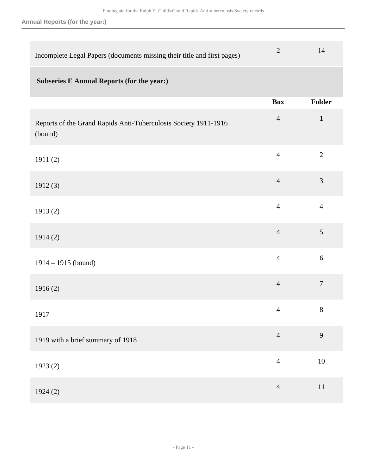**Annual Reports (for the year:)**

| Incomplete Legal Papers (documents missing their title and first pages)    | $\overline{2}$ | 14             |
|----------------------------------------------------------------------------|----------------|----------------|
| <b>Subseries E Annual Reports (for the year:)</b>                          |                |                |
|                                                                            | <b>Box</b>     | Folder         |
| Reports of the Grand Rapids Anti-Tuberculosis Society 1911-1916<br>(bound) | $\overline{4}$ | $\mathbf{1}$   |
| 1911(2)                                                                    | $\overline{4}$ | $\overline{2}$ |
| 1912(3)                                                                    | $\overline{4}$ | $\mathfrak{Z}$ |
| 1913(2)                                                                    | $\overline{4}$ | $\overline{4}$ |
| 1914(2)                                                                    | $\overline{4}$ | $\overline{5}$ |
| $1914 - 1915$ (bound)                                                      | $\overline{4}$ | 6              |
| 1916(2)                                                                    | $\overline{4}$ | $\overline{7}$ |
| 1917                                                                       | $\overline{4}$ | 8              |
| 1919 with a brief summary of 1918                                          | $\overline{4}$ | 9              |
| 1923 (2)                                                                   | $\overline{4}$ | $10\,$         |
| 1924(2)                                                                    | $\overline{4}$ | 11             |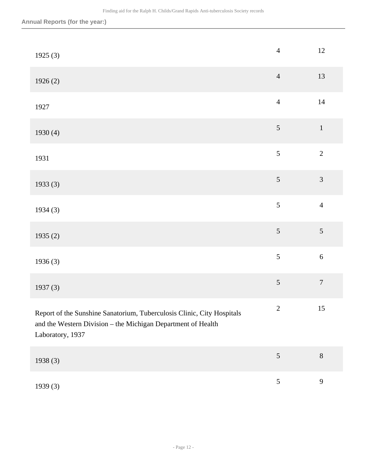| 1925(3)                                                                                                                                                    | $\overline{4}$ | $12\,$           |
|------------------------------------------------------------------------------------------------------------------------------------------------------------|----------------|------------------|
| 1926(2)                                                                                                                                                    | $\overline{4}$ | 13               |
| 1927                                                                                                                                                       | $\overline{4}$ | $14\,$           |
| 1930(4)                                                                                                                                                    | $\mathfrak{S}$ | $\,1\,$          |
| 1931                                                                                                                                                       | 5              | $\sqrt{2}$       |
| 1933(3)                                                                                                                                                    | 5              | $\overline{3}$   |
| 1934(3)                                                                                                                                                    | 5              | $\overline{4}$   |
| 1935(2)                                                                                                                                                    | 5              | 5                |
| 1936(3)                                                                                                                                                    | 5              | $\sqrt{6}$       |
| 1937(3)                                                                                                                                                    | 5              | $\boldsymbol{7}$ |
| Report of the Sunshine Sanatorium, Tuberculosis Clinic, City Hospitals<br>and the Western Division - the Michigan Department of Health<br>Laboratory, 1937 | $\overline{2}$ | 15               |
| 1938 (3)                                                                                                                                                   | $\sqrt{5}$     | $8\,$            |
| 1939 (3)                                                                                                                                                   | $5\,$          | $\overline{9}$   |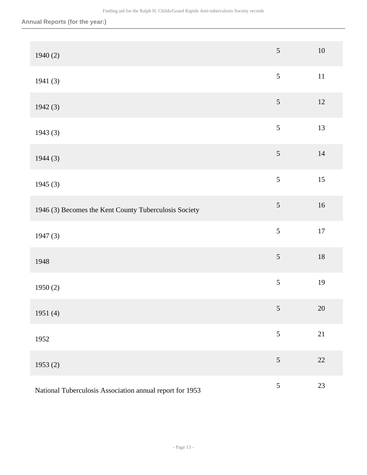| 1940(2)                                                  | 5              | $10\,$ |
|----------------------------------------------------------|----------------|--------|
| 1941(3)                                                  | $\sqrt{5}$     | $11\,$ |
| 1942(3)                                                  | $\sqrt{5}$     | 12     |
| 1943(3)                                                  | $\sqrt{5}$     | 13     |
| 1944(3)                                                  | $\sqrt{5}$     | 14     |
| 1945(3)                                                  | 5              | 15     |
| 1946 (3) Becomes the Kent County Tuberculosis Society    | $\sqrt{5}$     | 16     |
| 1947(3)                                                  | 5              | $17\,$ |
| 1948                                                     | $\mathfrak{S}$ | $18\,$ |
| 1950(2)                                                  | 5              | 19     |
| 1951 $(4)$                                               | $\mathfrak{S}$ | $20\,$ |
| 1952                                                     | 5              | 21     |
| 1953(2)                                                  | 5              | 22     |
| National Tuberculosis Association annual report for 1953 | $\mathfrak{S}$ | 23     |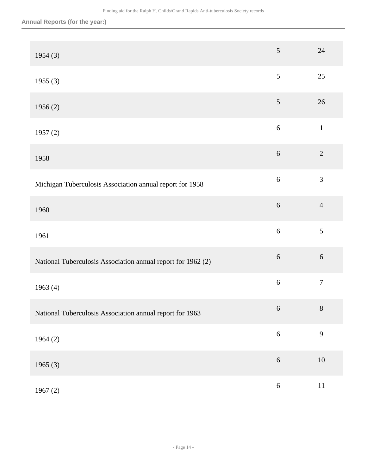| 1954(3)                                                      | 5              | $24\,$         |
|--------------------------------------------------------------|----------------|----------------|
| 1955(3)                                                      | $\mathfrak{S}$ | 25             |
| 1956(2)                                                      | $\sqrt{5}$     | 26             |
| 1957(2)                                                      | $\sqrt{6}$     | $\,1\,$        |
| 1958                                                         | $\sqrt{6}$     | $\sqrt{2}$     |
| Michigan Tuberculosis Association annual report for 1958     | $\sqrt{6}$     | 3              |
| 1960                                                         | $\sqrt{6}$     | $\overline{4}$ |
| 1961                                                         | $\sqrt{6}$     | $\mathfrak{S}$ |
| National Tuberculosis Association annual report for 1962 (2) | $\sqrt{6}$     | $\sqrt{6}$     |
| 1963(4)                                                      | $\sqrt{6}$     | $\tau$         |
| National Tuberculosis Association annual report for 1963     | 6              | $8\,$          |
| 1964(2)                                                      | $\sqrt{6}$     | 9              |
| 1965(3)                                                      | $\sqrt{6}$     | $10\,$         |
| 1967(2)                                                      | $\sqrt{6}$     | $11\,$         |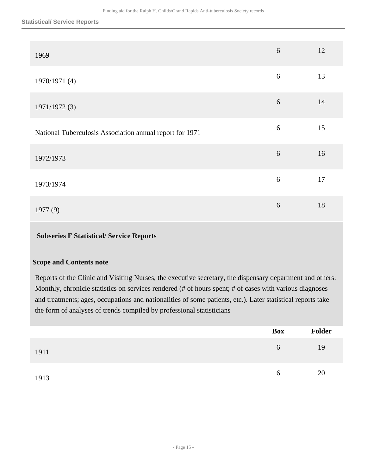#### **Statistical/ Service Reports**

| 1969                                                     | 6          | 12 |
|----------------------------------------------------------|------------|----|
| 1970/1971 (4)                                            | $\sqrt{6}$ | 13 |
| 1971/1972 (3)                                            | 6          | 14 |
| National Tuberculosis Association annual report for 1971 | 6          | 15 |
| 1972/1973                                                | 6          | 16 |
| 1973/1974                                                | 6          | 17 |
| 1977(9)                                                  | 6          | 18 |

#### **Subseries F Statistical/ Service Reports**

#### **Scope and Contents note**

Reports of the Clinic and Visiting Nurses, the executive secretary, the dispensary department and others: Monthly, chronicle statistics on services rendered (# of hours spent; # of cases with various diagnoses and treatments; ages, occupations and nationalities of some patients, etc.). Later statistical reports take the form of analyses of trends compiled by professional statisticians

|      | Box      | Folder |
|------|----------|--------|
| 1911 | 6        | 19     |
| 1913 | $\sigma$ | 20     |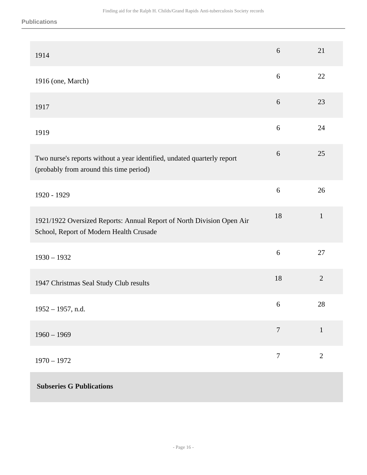**Publications**

| 1914                                                                                                               | 6                | 21             |
|--------------------------------------------------------------------------------------------------------------------|------------------|----------------|
| 1916 (one, March)                                                                                                  | 6                | 22             |
| 1917                                                                                                               | 6                | 23             |
| 1919                                                                                                               | 6                | 24             |
| Two nurse's reports without a year identified, undated quarterly report<br>(probably from around this time period) | 6                | 25             |
| 1920 - 1929                                                                                                        | 6                | 26             |
| 1921/1922 Oversized Reports: Annual Report of North Division Open Air<br>School, Report of Modern Health Crusade   | 18               | $\mathbf{1}$   |
| $1930 - 1932$                                                                                                      | 6                | 27             |
| 1947 Christmas Seal Study Club results                                                                             | 18               | $\overline{2}$ |
| $1952 - 1957$ , n.d.                                                                                               | 6                | 28             |
| $1960 - 1969$                                                                                                      | $\overline{7}$   | $\mathbf{1}$   |
| $1970 - 1972$                                                                                                      | $\boldsymbol{7}$ | $\mathbf{2}$   |
| <b>Subseries G Publications</b>                                                                                    |                  |                |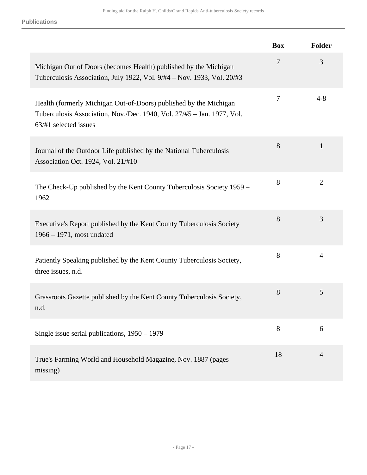**Publications**

|                                                                                                                                                                      | <b>Box</b> | Folder         |
|----------------------------------------------------------------------------------------------------------------------------------------------------------------------|------------|----------------|
| Michigan Out of Doors (becomes Health) published by the Michigan<br>Tuberculosis Association, July 1922, Vol. 9/#4 - Nov. 1933, Vol. 20/#3                           | $\tau$     | 3              |
| Health (formerly Michigan Out-of-Doors) published by the Michigan<br>Tuberculosis Association, Nov./Dec. 1940, Vol. 27/#5 - Jan. 1977, Vol.<br>63/#1 selected issues | 7          | $4 - 8$        |
| Journal of the Outdoor Life published by the National Tuberculosis<br>Association Oct. 1924, Vol. 21/#10                                                             | 8          | 1              |
| The Check-Up published by the Kent County Tuberculosis Society 1959 –<br>1962                                                                                        | 8          | $\overline{2}$ |
| Executive's Report published by the Kent County Tuberculosis Society<br>$1966 - 1971$ , most undated                                                                 | 8          | 3              |
| Patiently Speaking published by the Kent County Tuberculosis Society,<br>three issues, n.d.                                                                          | 8          | 4              |
| Grassroots Gazette published by the Kent County Tuberculosis Society,<br>n.d.                                                                                        | 8          | 5              |
| Single issue serial publications, $1950 - 1979$                                                                                                                      | 8          | 6              |
| True's Farming World and Household Magazine, Nov. 1887 (pages<br>missing)                                                                                            | 18         | $\overline{4}$ |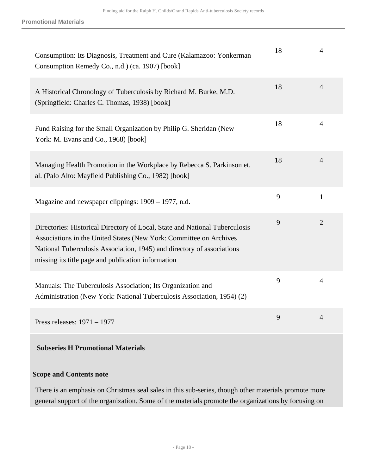**Promotional Materials**

| Consumption: Its Diagnosis, Treatment and Cure (Kalamazoo: Yonkerman<br>Consumption Remedy Co., n.d.) (ca. 1907) [book]                                                                                                                                                           | 18 | 4              |
|-----------------------------------------------------------------------------------------------------------------------------------------------------------------------------------------------------------------------------------------------------------------------------------|----|----------------|
| A Historical Chronology of Tuberculosis by Richard M. Burke, M.D.<br>(Springfield: Charles C. Thomas, 1938) [book]                                                                                                                                                                | 18 | $\overline{4}$ |
| Fund Raising for the Small Organization by Philip G. Sheridan (New<br>York: M. Evans and Co., 1968) [book]                                                                                                                                                                        | 18 | $\overline{4}$ |
| Managing Health Promotion in the Workplace by Rebecca S. Parkinson et.<br>al. (Palo Alto: Mayfield Publishing Co., 1982) [book]                                                                                                                                                   | 18 | $\overline{4}$ |
| Magazine and newspaper clippings: 1909 – 1977, n.d.                                                                                                                                                                                                                               | 9  | $\mathbf{1}$   |
| Directories: Historical Directory of Local, State and National Tuberculosis<br>Associations in the United States (New York: Committee on Archives<br>National Tuberculosis Association, 1945) and directory of associations<br>missing its title page and publication information | 9  | $\overline{2}$ |
| Manuals: The Tuberculosis Association; Its Organization and<br>Administration (New York: National Tuberculosis Association, 1954) (2)                                                                                                                                             | 9  | $\overline{4}$ |
| Press releases: 1971 - 1977                                                                                                                                                                                                                                                       | 9  | $\overline{4}$ |

## **Subseries H Promotional Materials**

#### **Scope and Contents note**

There is an emphasis on Christmas seal sales in this sub-series, though other materials promote more general support of the organization. Some of the materials promote the organizations by focusing on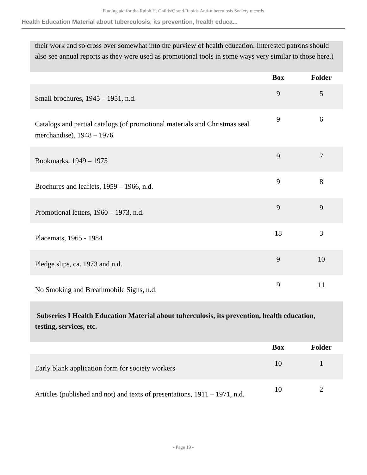**Health Education Material about tuberculosis, its prevention, health educa...**

their work and so cross over somewhat into the purview of health education. Interested patrons should also see annual reports as they were used as promotional tools in some ways very similar to those here.)

|                                                                                                         | <b>Box</b> | Folder |
|---------------------------------------------------------------------------------------------------------|------------|--------|
| Small brochures, 1945 – 1951, n.d.                                                                      | 9          | 5      |
| Catalogs and partial catalogs (of promotional materials and Christmas seal<br>merchandise), 1948 - 1976 | 9          | 6      |
| Bookmarks, 1949 - 1975                                                                                  | 9          | $\tau$ |
| Brochures and leaflets, 1959 – 1966, n.d.                                                               | 9          | 8      |
| Promotional letters, 1960 – 1973, n.d.                                                                  | 9          | 9      |
| Placemats, 1965 - 1984                                                                                  | 18         | 3      |
| Pledge slips, ca. 1973 and n.d.                                                                         | 9          | 10     |
| No Smoking and Breathmobile Signs, n.d.                                                                 | 9          | 11     |

 **Subseries I Health Education Material about tuberculosis, its prevention, health education, testing, services, etc.** 

|                                                                            | <b>Box</b> | Folder |
|----------------------------------------------------------------------------|------------|--------|
| Early blank application form for society workers                           | 10         |        |
| Articles (published and not) and texts of presentations, 1911 – 1971, n.d. | 10         |        |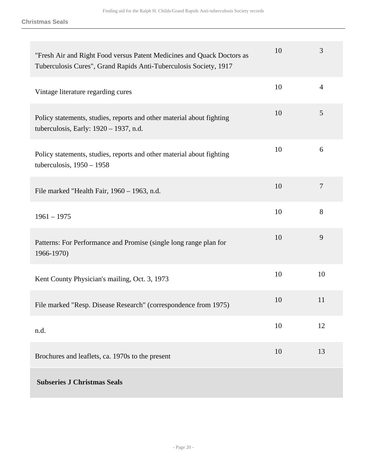**Christmas Seals**

| "Fresh Air and Right Food versus Patent Medicines and Quack Doctors as<br>Tuberculosis Cures", Grand Rapids Anti-Tuberculosis Society, 1917 | 10 | 3              |
|---------------------------------------------------------------------------------------------------------------------------------------------|----|----------------|
| Vintage literature regarding cures                                                                                                          | 10 | $\overline{4}$ |
| Policy statements, studies, reports and other material about fighting<br>tuberculosis, Early: 1920 – 1937, n.d.                             | 10 | 5              |
| Policy statements, studies, reports and other material about fighting<br>tuberculosis, $1950 - 1958$                                        | 10 | 6              |
| File marked "Health Fair, 1960 - 1963, n.d.                                                                                                 | 10 | $\overline{7}$ |
| $1961 - 1975$                                                                                                                               | 10 | 8              |
| Patterns: For Performance and Promise (single long range plan for<br>1966-1970)                                                             | 10 | 9              |
| Kent County Physician's mailing, Oct. 3, 1973                                                                                               | 10 | 10             |
| File marked "Resp. Disease Research" (correspondence from 1975)                                                                             | 10 | 11             |
| n.d.                                                                                                                                        | 10 | 12             |
| Brochures and leaflets, ca. 1970s to the present                                                                                            | 10 | 13             |
| <b>Subseries J Christmas Seals</b>                                                                                                          |    |                |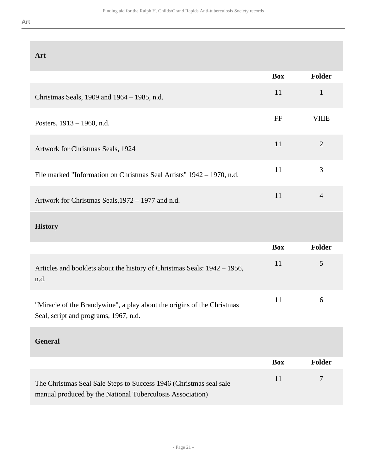| ۰. |  | ۰, | н |  |
|----|--|----|---|--|
|    |  |    | н |  |

| Art                                                                                                                             |            |                |
|---------------------------------------------------------------------------------------------------------------------------------|------------|----------------|
|                                                                                                                                 | <b>Box</b> | Folder         |
| Christmas Seals, 1909 and 1964 – 1985, n.d.                                                                                     | 11         | $\mathbf{1}$   |
| Posters, 1913 – 1960, n.d.                                                                                                      | FF         | <b>VIIIE</b>   |
| Artwork for Christmas Seals, 1924                                                                                               | 11         | $\overline{2}$ |
| File marked "Information on Christmas Seal Artists" 1942 – 1970, n.d.                                                           | 11         | 3              |
| Artwork for Christmas Seals, 1972 - 1977 and n.d.                                                                               | 11         | $\overline{4}$ |
| <b>History</b>                                                                                                                  |            |                |
|                                                                                                                                 | <b>Box</b> | Folder         |
| Articles and booklets about the history of Christmas Seals: 1942 – 1956,<br>n.d.                                                | 11         | 5              |
| "Miracle of the Brandywine", a play about the origins of the Christmas<br>Seal, script and programs, 1967, n.d.                 | 11         | 6              |
| <b>General</b>                                                                                                                  |            |                |
|                                                                                                                                 | <b>Box</b> | <b>Folder</b>  |
| The Christmas Seal Sale Steps to Success 1946 (Christmas seal sale<br>manual produced by the National Tuberculosis Association) | 11         | $\tau$         |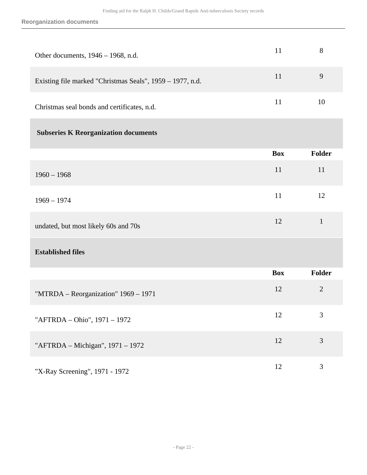| Other documents, 1946 - 1968, n.d.                        | 11         | 8              |
|-----------------------------------------------------------|------------|----------------|
| Existing file marked "Christmas Seals", 1959 - 1977, n.d. | 11         | 9              |
| Christmas seal bonds and certificates, n.d.               | 11         | 10             |
| <b>Subseries K Reorganization documents</b>               |            |                |
|                                                           | <b>Box</b> | Folder         |
| $1960 - 1968$                                             | 11         | 11             |
| $1969 - 1974$                                             | 11         | 12             |
| undated, but most likely 60s and 70s                      | 12         | $\mathbf{1}$   |
| <b>Established files</b>                                  |            |                |
|                                                           | <b>Box</b> | Folder         |
| "MTRDA - Reorganization" 1969 - 1971                      | 12         | $\overline{2}$ |
| "AFTRDA - Ohio", 1971 - 1972                              | 12         | $\mathfrak{Z}$ |
| "AFTRDA - Michigan", 1971 - 1972                          | 12         | 3              |
| "X-Ray Screening", 1971 - 1972                            | 12         | 3              |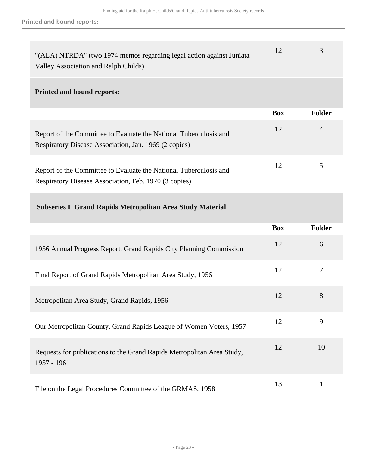**Printed and bound reports:**

| "(ALA) NTRDA" (two 1974 memos regarding legal action against Juniata |  |
|----------------------------------------------------------------------|--|
| Valley Association and Ralph Childs)                                 |  |

#### **Printed and bound reports:**

|                                                                                                                            | <b>Box</b> | <b>Folder</b> |
|----------------------------------------------------------------------------------------------------------------------------|------------|---------------|
| Report of the Committee to Evaluate the National Tuberculosis and<br>Respiratory Disease Association, Jan. 1969 (2 copies) | 12         | 4             |
| Report of the Committee to Evaluate the National Tuberculosis and<br>Respiratory Disease Association, Feb. 1970 (3 copies) | 12         | 5             |

#### **Subseries L Grand Rapids Metropolitan Area Study Material**

|                                                                                       | <b>Box</b> | <b>Folder</b> |
|---------------------------------------------------------------------------------------|------------|---------------|
| 1956 Annual Progress Report, Grand Rapids City Planning Commission                    | 12         | 6             |
| Final Report of Grand Rapids Metropolitan Area Study, 1956                            | 12         | 7             |
| Metropolitan Area Study, Grand Rapids, 1956                                           | 12         | 8             |
| Our Metropolitan County, Grand Rapids League of Women Voters, 1957                    | 12         | 9             |
| Requests for publications to the Grand Rapids Metropolitan Area Study,<br>1957 - 1961 | 12         | 10            |
| File on the Legal Procedures Committee of the GRMAS, 1958                             | 13         | 1             |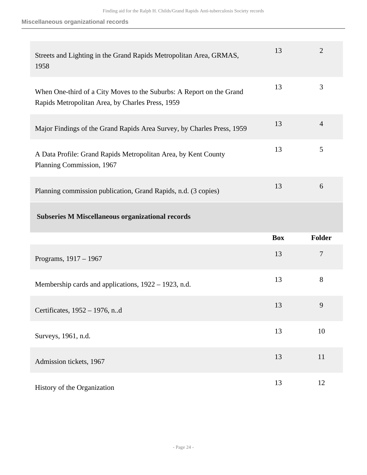#### **Miscellaneous organizational records**

| Streets and Lighting in the Grand Rapids Metropolitan Area, GRMAS,<br>1958                                               | 13         | $\overline{2}$ |
|--------------------------------------------------------------------------------------------------------------------------|------------|----------------|
| When One-third of a City Moves to the Suburbs: A Report on the Grand<br>Rapids Metropolitan Area, by Charles Press, 1959 | 13         | 3              |
| Major Findings of the Grand Rapids Area Survey, by Charles Press, 1959                                                   | 13         | $\overline{4}$ |
| A Data Profile: Grand Rapids Metropolitan Area, by Kent County<br>Planning Commission, 1967                              | 13         | 5              |
| Planning commission publication, Grand Rapids, n.d. (3 copies)                                                           | 13         | 6              |
|                                                                                                                          |            |                |
| <b>Subseries M Miscellaneous organizational records</b>                                                                  |            |                |
|                                                                                                                          | <b>Box</b> | <b>Folder</b>  |
| Programs, 1917 - 1967                                                                                                    | 13         | $\overline{7}$ |
| Membership cards and applications, 1922 – 1923, n.d.                                                                     | 13         | 8              |
| Certificates, 1952 - 1976, n.d                                                                                           | 13         | 9              |
| Surveys, 1961, n.d.                                                                                                      | 13         | 10             |
| Admission tickets, 1967                                                                                                  | 13         | 11             |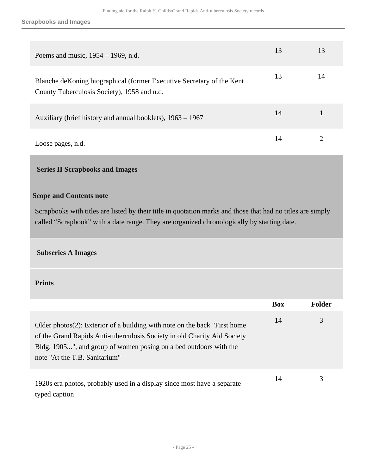#### **Scrapbooks and Images**

| Poems and music, $1954 - 1969$ , n.d.                                                                                 | 13 | 13 |
|-----------------------------------------------------------------------------------------------------------------------|----|----|
| Blanche de Koning biographical (former Executive Secretary of the Kent<br>County Tuberculosis Society), 1958 and n.d. | 13 | 14 |
| Auxiliary (brief history and annual booklets), 1963 – 1967                                                            | 14 |    |
| Loose pages, n.d.                                                                                                     | 14 |    |

### <span id="page-24-0"></span> **Series II Scrapbooks and Images**

#### **Scope and Contents note**

Scrapbooks with titles are listed by their title in quotation marks and those that had no titles are simply called "Scrapbook" with a date range. They are organized chronologically by starting date.

#### **Subseries A Images**

#### **Prints**

|                                                                                                                                                                                                                                                                  | <b>Box</b> | <b>Folder</b> |
|------------------------------------------------------------------------------------------------------------------------------------------------------------------------------------------------------------------------------------------------------------------|------------|---------------|
| Older photos $(2)$ : Exterior of a building with note on the back "First home"<br>of the Grand Rapids Anti-tuberculosis Society in old Charity Aid Society<br>Bldg. 1905", and group of women posing on a bed outdoors with the<br>note "At the T.B. Sanitarium" | 14         | 3             |
| 1920s era photos, probably used in a display since most have a separate<br>typed caption                                                                                                                                                                         | 14         | 3             |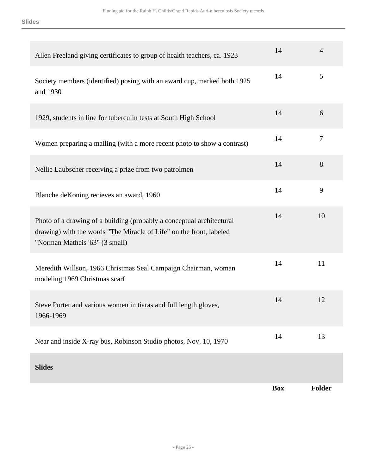| Allen Freeland giving certificates to group of health teachers, ca. 1923                                                                                                       | 14         | $\overline{4}$ |
|--------------------------------------------------------------------------------------------------------------------------------------------------------------------------------|------------|----------------|
| Society members (identified) posing with an award cup, marked both 1925<br>and 1930                                                                                            | 14         | 5              |
| 1929, students in line for tuberculin tests at South High School                                                                                                               | 14         | 6              |
| Women preparing a mailing (with a more recent photo to show a contrast)                                                                                                        | 14         | $\tau$         |
| Nellie Laubscher receiving a prize from two patrolmen                                                                                                                          | 14         | 8              |
| Blanche deKoning recieves an award, 1960                                                                                                                                       | 14         | 9              |
| Photo of a drawing of a building (probably a conceptual architectural<br>drawing) with the words "The Miracle of Life" on the front, labeled<br>"Norman Matheis '63" (3 small) | 14         | 10             |
| Meredith Willson, 1966 Christmas Seal Campaign Chairman, woman<br>modeling 1969 Christmas scarf                                                                                | 14         | 11             |
| Steve Porter and various women in tiaras and full length gloves,<br>1966-1969                                                                                                  | 14         | 12             |
| Near and inside X-ray bus, Robinson Studio photos, Nov. 10, 1970                                                                                                               | 14         | 13             |
| <b>Slides</b>                                                                                                                                                                  |            |                |
|                                                                                                                                                                                | <b>Box</b> | <b>Folder</b>  |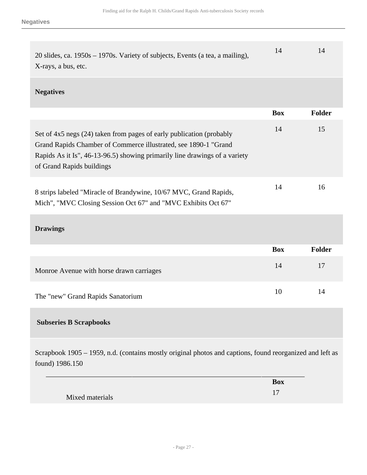| 20 slides, ca. $1950s - 1970s$ . Variety of subjects, Events (a tea, a mailing), |  |
|----------------------------------------------------------------------------------|--|
| X-rays, a bus, etc.                                                              |  |

### **Negatives**

|                                                                                                                                                                                                                                                    | <b>Box</b> | <b>Folder</b> |
|----------------------------------------------------------------------------------------------------------------------------------------------------------------------------------------------------------------------------------------------------|------------|---------------|
| Set of 4x5 negs (24) taken from pages of early publication (probably<br>Grand Rapids Chamber of Commerce illustrated, see 1890-1 "Grand<br>Rapids As it Is", 46-13-96.5) showing primarily line drawings of a variety<br>of Grand Rapids buildings | 14         | 15            |
| 8 strips labeled "Miracle of Brandywine, 10/67 MVC, Grand Rapids,<br>Mich", "MVC Closing Session Oct 67" and "MVC Exhibits Oct 67"                                                                                                                 | 14         | 16            |

## **Drawings**

|                                          | Box | Folder |
|------------------------------------------|-----|--------|
| Monroe Avenue with horse drawn carriages | 14  | 17     |
| The "new" Grand Rapids Sanatorium        | 10  | 14     |

### **Subseries B Scrapbooks**

Scrapbook 1905 – 1959, n.d. (contains mostly original photos and captions, found reorganized and left as found) 1986.150

|                 | <b>Box</b> |
|-----------------|------------|
| Mixed materials |            |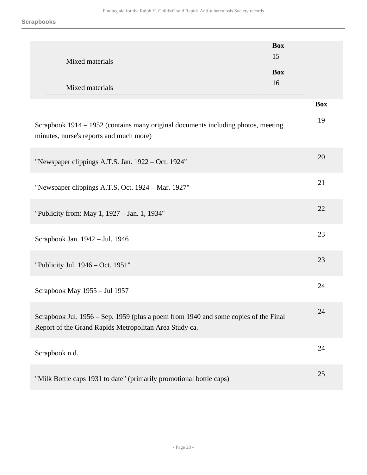| Mixed materials<br>Mixed materials                                                                                                            | <b>Box</b><br>15<br><b>Box</b><br>16 |
|-----------------------------------------------------------------------------------------------------------------------------------------------|--------------------------------------|
|                                                                                                                                               | <b>Box</b>                           |
| Scrapbook 1914 – 1952 (contains many original documents including photos, meeting<br>minutes, nurse's reports and much more)                  | 19                                   |
| "Newspaper clippings A.T.S. Jan. 1922 – Oct. 1924"                                                                                            | 20                                   |
| "Newspaper clippings A.T.S. Oct. 1924 - Mar. 1927"                                                                                            | 21                                   |
| "Publicity from: May 1, 1927 - Jan. 1, 1934"                                                                                                  | 22                                   |
| Scrapbook Jan. 1942 - Jul. 1946                                                                                                               | 23                                   |
| "Publicity Jul. 1946 – Oct. 1951"                                                                                                             | 23                                   |
| Scrapbook May 1955 - Jul 1957                                                                                                                 | 24                                   |
| Scrapbook Jul. 1956 – Sep. 1959 (plus a poem from 1940 and some copies of the Final<br>Report of the Grand Rapids Metropolitan Area Study ca. | 24                                   |
| Scrapbook n.d.                                                                                                                                | 24                                   |
| "Milk Bottle caps 1931 to date" (primarily promotional bottle caps)                                                                           | 25                                   |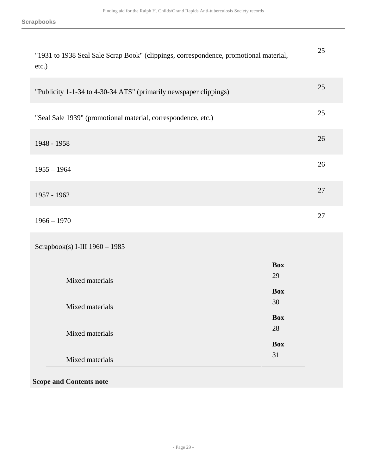| "1931 to 1938 Seal Sale Scrap Book" (clippings, correspondence, promotional material,<br>$etc.$ ) | 25 |
|---------------------------------------------------------------------------------------------------|----|
| "Publicity 1-1-34 to 4-30-34 ATS" (primarily newspaper clippings)                                 | 25 |
| "Seal Sale 1939" (promotional material, correspondence, etc.)                                     | 25 |
| 1948 - 1958                                                                                       | 26 |
| $1955 - 1964$                                                                                     | 26 |
| 1957 - 1962                                                                                       | 27 |
| $1966 - 1970$                                                                                     | 27 |

Scrapbook(s) I-III 1960 – 1985

|                 | <b>Box</b> |
|-----------------|------------|
| Mixed materials | 29         |
|                 | <b>Box</b> |
| Mixed materials | 30         |
|                 | <b>Box</b> |
| Mixed materials | 28         |
|                 | <b>Box</b> |
| Mixed materials | 31         |

**Scope and Contents note**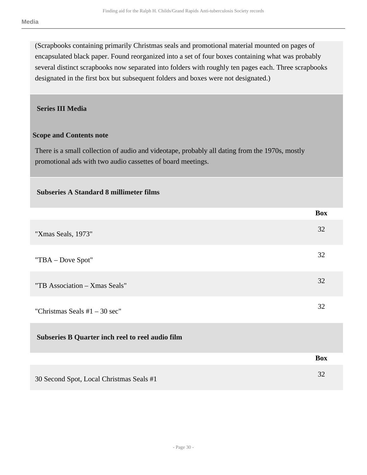(Scrapbooks containing primarily Christmas seals and promotional material mounted on pages of encapsulated black paper. Found reorganized into a set of four boxes containing what was probably several distinct scrapbooks now separated into folders with roughly ten pages each. Three scrapbooks designated in the first box but subsequent folders and boxes were not designated.)

### <span id="page-29-0"></span> **Series III Media**

### **Scope and Contents note**

 **Subseries A Standard 8 millimeter films** 

There is a small collection of audio and videotape, probably all dating from the 1970s, mostly promotional ads with two audio cassettes of board meetings.

|                                                  | <b>Box</b> |
|--------------------------------------------------|------------|
| "Xmas Seals, 1973"                               | 32         |
| "TBA - Dove Spot"                                | 32         |
| "TB Association - Xmas Seals"                    | 32         |
| "Christmas Seals $#1 - 30$ sec"                  | 32         |
| Subseries B Quarter inch reel to reel audio film |            |
|                                                  | <b>Box</b> |
| 30 Second Spot, Local Christmas Seals #1         | 32         |